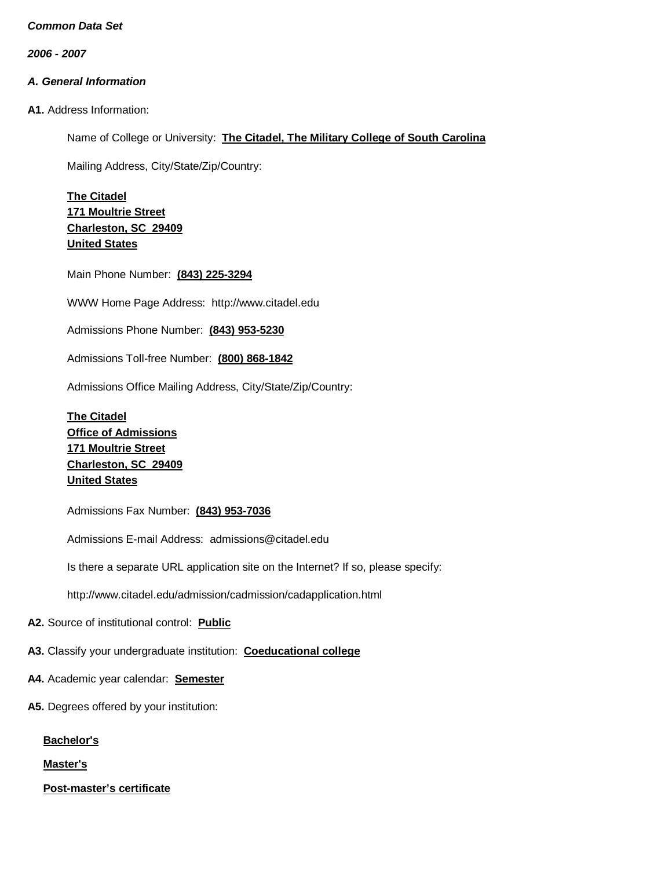*2006 - 2007*

# *A. General Information*

**A1.** Address Information:

Name of College or University: **The Citadel, The Military College of South Carolina**

Mailing Address, City/State/Zip/Country:

**The Citadel 171 Moultrie Street Charleston, SC 29409 United States**

Main Phone Number: **(843) 225-3294**

WWW Home Page Address: [http://www.citadel.edu](http://www.citadel.edu/)

Admissions Phone Number: **(843) 953-5230**

Admissions Toll-free Number: **(800) 868-1842**

Admissions Office Mailing Address, City/State/Zip/Country:

**The Citadel Office of Admissions 171 Moultrie Street Charleston, SC 29409 United States**

Admissions Fax Number: **(843) 953-7036**

Admissions E-mail Address: [admissions@citadel.edu](mailto:admissions@citadel.edu)

Is there a separate URL application site on the Internet? If so, please specify:

<http://www.citadel.edu/admission/cadmission/cadapplication.html>

**A2.** Source of institutional control: **Public**

**A3.** Classify your undergraduate institution: **Coeducational college**

- **A4.** Academic year calendar: **Semester**
- **A5.** Degrees offered by your institution:

**Bachelor's**

**Master's**

**Post-master's certificate**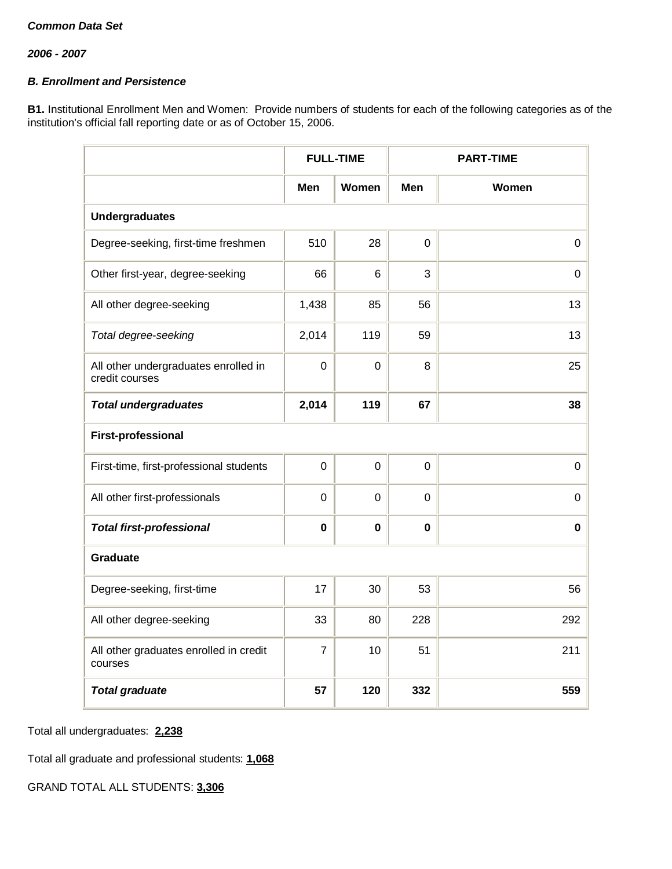# *B. Enrollment and Persistence*

**B1.** Institutional Enrollment Men and Women: Provide numbers of students for each of the following categories as of the institution's official fall reporting date or as of October 15, 2006.

|                                                        | <b>FULL-TIME</b> |             | <b>PART-TIME</b> |             |  |
|--------------------------------------------------------|------------------|-------------|------------------|-------------|--|
|                                                        | Men              | Women       | Men              | Women       |  |
| <b>Undergraduates</b>                                  |                  |             |                  |             |  |
| Degree-seeking, first-time freshmen                    | 510              | 28          | $\mathbf 0$      | $\mathbf 0$ |  |
| Other first-year, degree-seeking                       | 66               | 6           | 3                | 0           |  |
| All other degree-seeking                               | 1,438            | 85          | 56               | 13          |  |
| Total degree-seeking                                   | 2,014            | 119         | 59               | 13          |  |
| All other undergraduates enrolled in<br>credit courses | $\mathbf 0$      | $\mathbf 0$ | 8                | 25          |  |
| <b>Total undergraduates</b>                            | 2,014            | 119         | 67               | 38          |  |
| <b>First-professional</b>                              |                  |             |                  |             |  |
| First-time, first-professional students                | $\mathbf 0$      | $\mathbf 0$ | $\mathbf 0$      | $\mathsf 0$ |  |
| All other first-professionals                          | $\overline{0}$   | 0           | $\mathbf 0$      | $\mathbf 0$ |  |
| <b>Total first-professional</b>                        | $\mathbf 0$      | $\mathbf 0$ | $\mathbf 0$      | $\mathbf 0$ |  |
| <b>Graduate</b>                                        |                  |             |                  |             |  |
| Degree-seeking, first-time                             | 17               | 30          | 53               | 56          |  |
| All other degree-seeking                               | 33               | 80          | 228              | 292         |  |
| All other graduates enrolled in credit<br>courses      | $\overline{7}$   | 10          | 51               | 211         |  |
| <b>Total graduate</b>                                  | 57               | 120         | 332              | 559         |  |

Total all undergraduates: **2,238**

Total all graduate and professional students: **1,068**

GRAND TOTAL ALL STUDENTS: **3,306**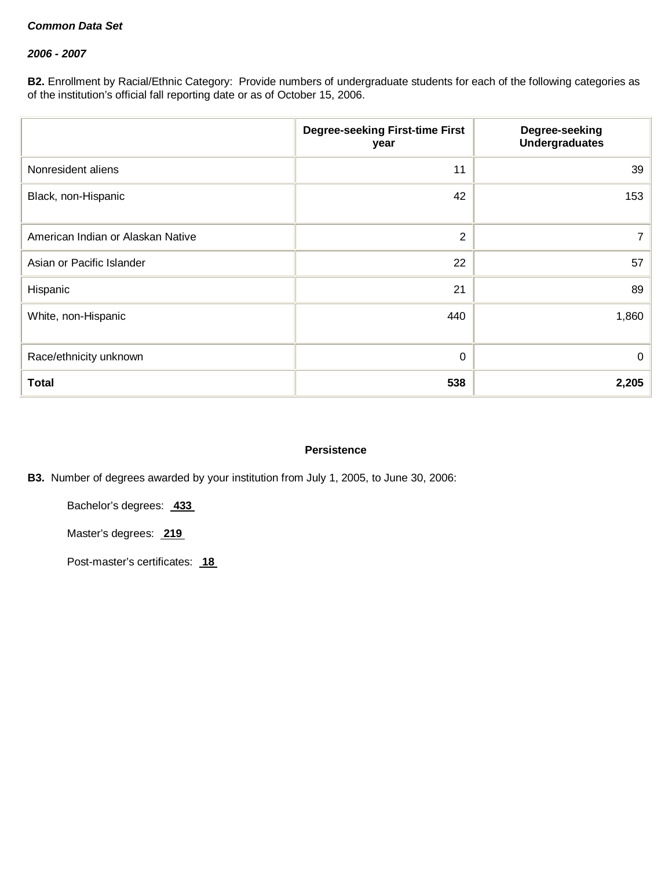### *2006 - 2007*

**B2.** Enrollment by Racial/Ethnic Category: Provide numbers of undergraduate students for each of the following categories as of the institution's official fall reporting date or as of October 15, 2006.

|                                   | <b>Degree-seeking First-time First</b><br>year | Degree-seeking<br><b>Undergraduates</b> |
|-----------------------------------|------------------------------------------------|-----------------------------------------|
| Nonresident aliens                | 11                                             | 39                                      |
| Black, non-Hispanic               | 42                                             | 153                                     |
| American Indian or Alaskan Native | $\overline{2}$                                 | 7                                       |
| Asian or Pacific Islander         | 22                                             | 57                                      |
| Hispanic                          | 21                                             | 89                                      |
| White, non-Hispanic               | 440                                            | 1,860                                   |
| Race/ethnicity unknown            | 0                                              | 0                                       |
| <b>Total</b>                      | 538                                            | 2,205                                   |

## **Persistence**

**B3.** Number of degrees awarded by your institution from July 1, 2005, to June 30, 2006:

Bachelor's degrees: **433**

Master's degrees: **219**

Post-master's certificates: **18**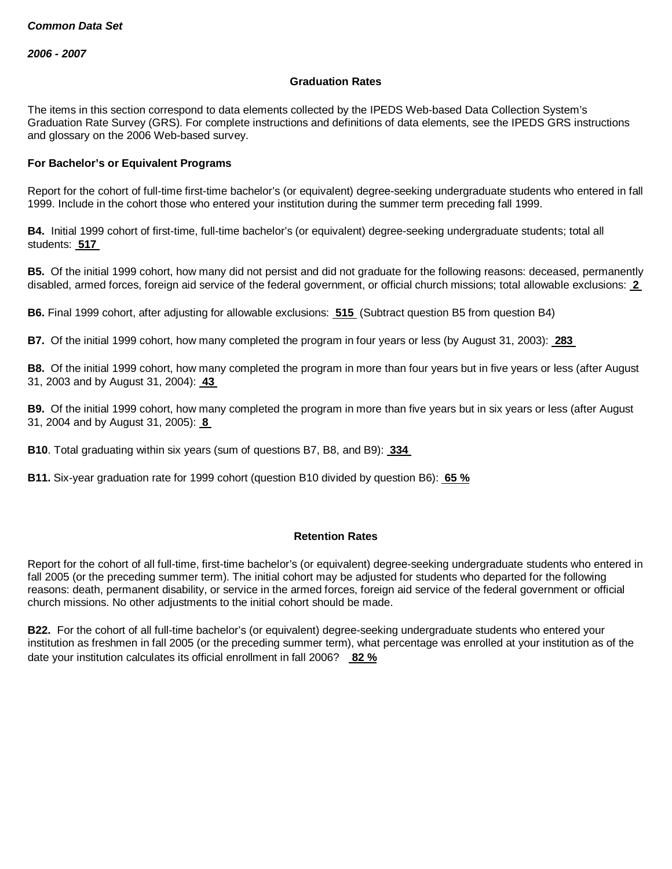### **Graduation Rates**

The items in this section correspond to data elements collected by the IPEDS Web-based Data Collection System's Graduation Rate Survey (GRS). For complete instructions and definitions of data elements, see the IPEDS GRS instructions and glossary on the 2006 Web-based survey.

### **For Bachelor's or Equivalent Programs**

Report for the cohort of full-time first-time bachelor's (or equivalent) degree-seeking undergraduate students who entered in fall 1999. Include in the cohort those who entered your institution during the summer term preceding fall 1999.

**B4.** Initial 1999 cohort of first-time, full-time bachelor's (or equivalent) degree-seeking undergraduate students; total all students: **517**

**B5.** Of the initial 1999 cohort, how many did not persist and did not graduate for the following reasons: deceased, permanently disabled, armed forces, foreign aid service of the federal government, or official church missions; total allowable exclusions: **2**

**B6.** Final 1999 cohort, after adjusting for allowable exclusions: **515** (Subtract question B5 from question B4)

**B7.** Of the initial 1999 cohort, how many completed the program in four years or less (by August 31, 2003): **283**

**B8.** Of the initial 1999 cohort, how many completed the program in more than four years but in five years or less (after August 31, 2003 and by August 31, 2004): **43**

**B9.** Of the initial 1999 cohort, how many completed the program in more than five years but in six years or less (after August 31, 2004 and by August 31, 2005): **8**

**B10**. Total graduating within six years (sum of questions B7, B8, and B9): **334**

**B11.** Six-year graduation rate for 1999 cohort (question B10 divided by question B6): **65 %**

### **Retention Rates**

Report for the cohort of all full-time, first-time bachelor's (or equivalent) degree-seeking undergraduate students who entered in fall 2005 (or the preceding summer term). The initial cohort may be adjusted for students who departed for the following reasons: death, permanent disability, or service in the armed forces, foreign aid service of the federal government or official church missions. No other adjustments to the initial cohort should be made.

**B22.** For the cohort of all full-time bachelor's (or equivalent) degree-seeking undergraduate students who entered your institution as freshmen in fall 2005 (or the preceding summer term), what percentage was enrolled at your institution as of the date your institution calculates its official enrollment in fall 2006? **82 %**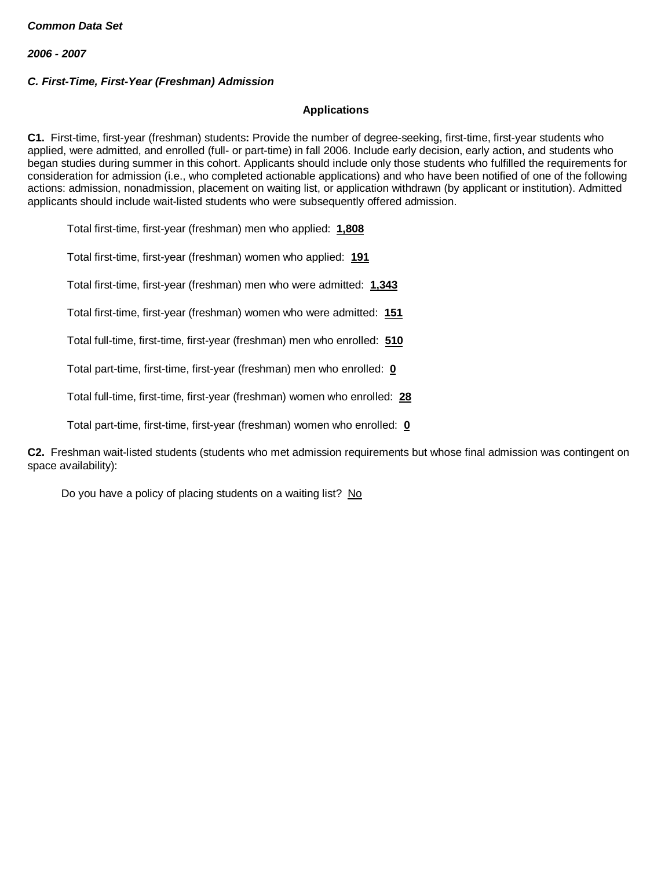## *C. First-Time, First-Year (Freshman) Admission*

### **Applications**

**C1.** First-time, first-year (freshman) students**:** Provide the number of degree-seeking, first-time, first-year students who applied, were admitted, and enrolled (full- or part-time) in fall 2006. Include early decision, early action, and students who began studies during summer in this cohort. Applicants should include only those students who fulfilled the requirements for consideration for admission (i.e., who completed actionable applications) and who have been notified of one of the following actions: admission, nonadmission, placement on waiting list, or application withdrawn (by applicant or institution). Admitted applicants should include wait-listed students who were subsequently offered admission.

Total first-time, first-year (freshman) men who applied: **1,808**

Total first-time, first-year (freshman) women who applied: **191**

Total first-time, first-year (freshman) men who were admitted: **1,343**

Total first-time, first-year (freshman) women who were admitted: **151**

Total full-time, first-time, first-year (freshman) men who enrolled: **510**

Total part-time, first-time, first-year (freshman) men who enrolled: **0**

Total full-time, first-time, first-year (freshman) women who enrolled: **28**

Total part-time, first-time, first-year (freshman) women who enrolled: **0**

**C2.** Freshman wait-listed students (students who met admission requirements but whose final admission was contingent on space availability):

Do you have a policy of placing students on a waiting list? No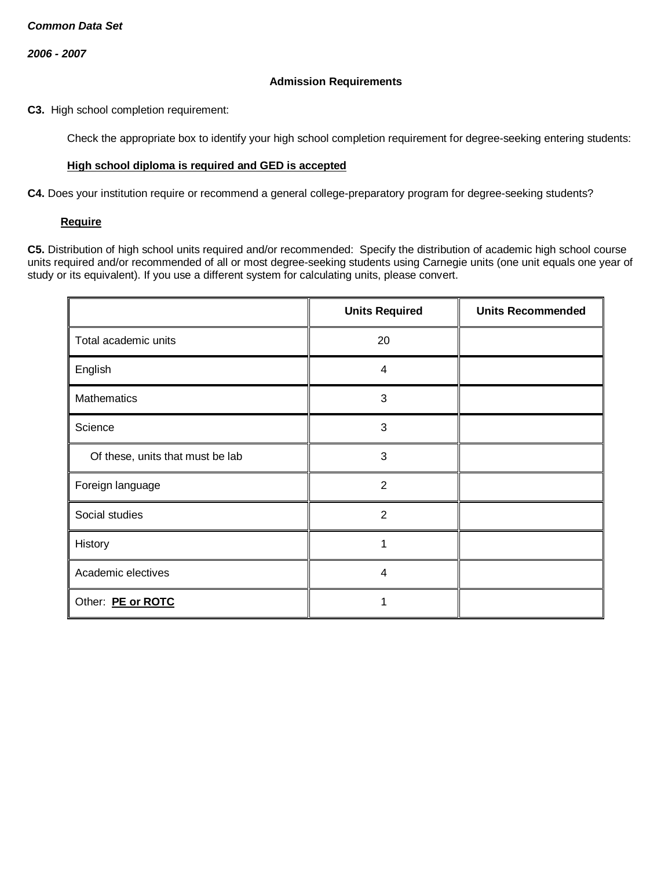### **Admission Requirements**

**C3.** High school completion requirement:

Check the appropriate box to identify your high school completion requirement for degree-seeking entering students:

### **High school diploma is required and GED is accepted**

**C4.** Does your institution require or recommend a general college-preparatory program for degree-seeking students?

### **Require**

**C5.** Distribution of high school units required and/or recommended: Specify the distribution of academic high school course units required and/or recommended of all or most degree-seeking students using Carnegie units (one unit equals one year of study or its equivalent). If you use a different system for calculating units, please convert.

|                                  | <b>Units Required</b> | <b>Units Recommended</b> |
|----------------------------------|-----------------------|--------------------------|
| Total academic units             | 20                    |                          |
| English                          | 4                     |                          |
| <b>Mathematics</b>               | 3                     |                          |
| Science                          | 3                     |                          |
| Of these, units that must be lab | 3                     |                          |
| Foreign language                 | $\overline{2}$        |                          |
| Social studies                   | $\overline{2}$        |                          |
| History                          | 1                     |                          |
| Academic electives               | 4                     |                          |
| Other: PE or ROTC                |                       |                          |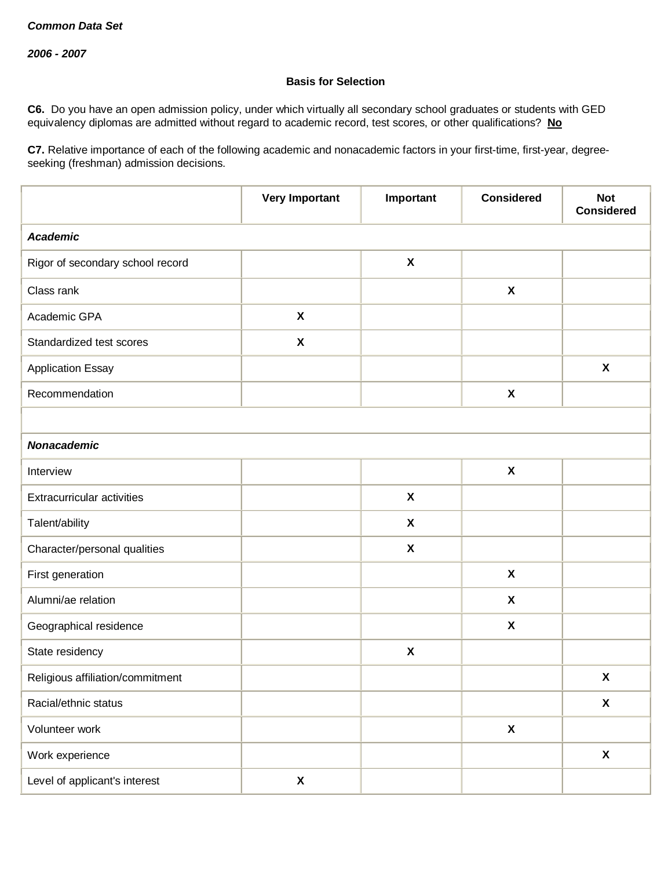## **Basis for Selection**

**C6.** Do you have an open admission policy, under which virtually all secondary school graduates or students with GED equivalency diplomas are admitted without regard to academic record, test scores, or other qualifications? **No**

**C7.** Relative importance of each of the following academic and nonacademic factors in your first-time, first-year, degreeseeking (freshman) admission decisions.

|                                   | <b>Very Important</b>     | Important                 | <b>Considered</b>         | <b>Not</b><br><b>Considered</b> |  |  |
|-----------------------------------|---------------------------|---------------------------|---------------------------|---------------------------------|--|--|
| <b>Academic</b>                   |                           |                           |                           |                                 |  |  |
| Rigor of secondary school record  |                           | $\pmb{\mathsf{X}}$        |                           |                                 |  |  |
| Class rank                        |                           |                           | $\boldsymbol{\mathsf{X}}$ |                                 |  |  |
| Academic GPA                      | $\boldsymbol{\mathsf{X}}$ |                           |                           |                                 |  |  |
| Standardized test scores          | $\boldsymbol{\mathsf{X}}$ |                           |                           |                                 |  |  |
| <b>Application Essay</b>          |                           |                           |                           | $\boldsymbol{\mathsf{X}}$       |  |  |
| Recommendation                    |                           |                           | $\pmb{\chi}$              |                                 |  |  |
|                                   |                           |                           |                           |                                 |  |  |
| <b>Nonacademic</b>                |                           |                           |                           |                                 |  |  |
| Interview                         |                           |                           | $\pmb{\chi}$              |                                 |  |  |
| <b>Extracurricular activities</b> |                           | $\pmb{\mathsf{X}}$        |                           |                                 |  |  |
| Talent/ability                    |                           | $\pmb{\mathsf{X}}$        |                           |                                 |  |  |
| Character/personal qualities      |                           | $\boldsymbol{\mathsf{X}}$ |                           |                                 |  |  |
| First generation                  |                           |                           | $\boldsymbol{\mathsf{X}}$ |                                 |  |  |
| Alumni/ae relation                |                           |                           | $\boldsymbol{\mathsf{X}}$ |                                 |  |  |
| Geographical residence            |                           |                           | $\boldsymbol{\mathsf{X}}$ |                                 |  |  |
| State residency                   |                           | $\pmb{\chi}$              |                           |                                 |  |  |
| Religious affiliation/commitment  |                           |                           |                           | $\pmb{\mathsf{X}}$              |  |  |
| Racial/ethnic status              |                           |                           |                           | $\pmb{\mathsf{X}}$              |  |  |
| Volunteer work                    |                           |                           | $\pmb{\mathsf{X}}$        |                                 |  |  |
| Work experience                   |                           |                           |                           | $\boldsymbol{\mathsf{X}}$       |  |  |
| Level of applicant's interest     | X                         |                           |                           |                                 |  |  |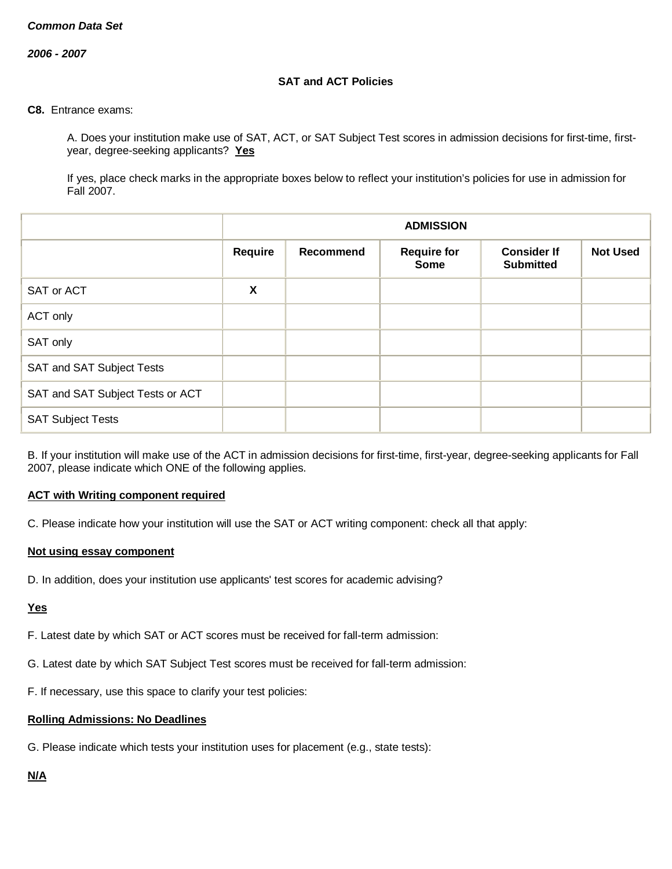*2006 - 2007*

## **SAT and ACT Policies**

#### **C8.** Entrance exams:

A. Does your institution make use of SAT, ACT, or SAT Subject Test scores in admission decisions for first-time, firstyear, degree-seeking applicants? **Yes**

If yes, place check marks in the appropriate boxes below to reflect your institution's policies for use in admission for Fall 2007.

|                                  |                | <b>ADMISSION</b>                                                                                            |  |  |  |  |
|----------------------------------|----------------|-------------------------------------------------------------------------------------------------------------|--|--|--|--|
|                                  | <b>Require</b> | <b>Not Used</b><br>Recommend<br><b>Require for</b><br><b>Consider If</b><br><b>Submitted</b><br><b>Some</b> |  |  |  |  |
| SAT or ACT                       | X              |                                                                                                             |  |  |  |  |
| ACT only                         |                |                                                                                                             |  |  |  |  |
| SAT only                         |                |                                                                                                             |  |  |  |  |
| SAT and SAT Subject Tests        |                |                                                                                                             |  |  |  |  |
| SAT and SAT Subject Tests or ACT |                |                                                                                                             |  |  |  |  |
| <b>SAT Subject Tests</b>         |                |                                                                                                             |  |  |  |  |

B. If your institution will make use of the ACT in admission decisions for first-time, first-year, degree-seeking applicants for Fall 2007, please indicate which ONE of the following applies.

### **ACT with Writing component required**

C. Please indicate how your institution will use the SAT or ACT writing component: check all that apply:

### **Not using essay component**

D. In addition, does your institution use applicants' test scores for academic advising?

### **Yes**

F. Latest date by which SAT or ACT scores must be received for fall-term admission:

- G. Latest date by which SAT Subject Test scores must be received for fall-term admission:
- F. If necessary, use this space to clarify your test policies:

### **Rolling Admissions: No Deadlines**

G. Please indicate which tests your institution uses for placement (e.g., state tests):

# **N/A**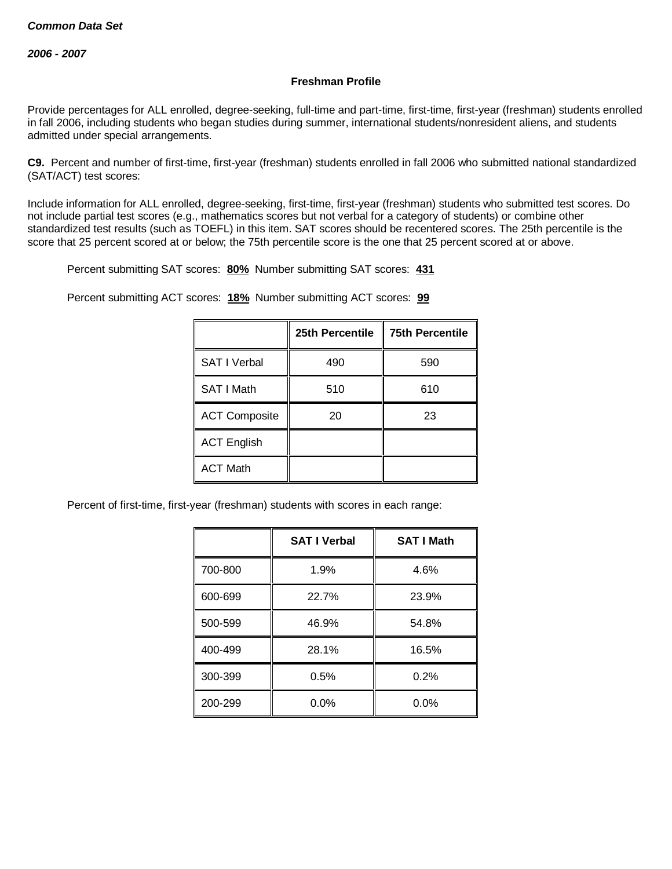## **Freshman Profile**

Provide percentages for ALL enrolled, degree-seeking, full-time and part-time, first-time, first-year (freshman) students enrolled in fall 2006, including students who began studies during summer, international students/nonresident aliens, and students admitted under special arrangements.

**C9.** Percent and number of first-time, first-year (freshman) students enrolled in fall 2006 who submitted national standardized (SAT/ACT) test scores:

Include information for ALL enrolled, degree-seeking, first-time, first-year (freshman) students who submitted test scores. Do not include partial test scores (e.g., mathematics scores but not verbal for a category of students) or combine other standardized test results (such as TOEFL) in this item. SAT scores should be recentered scores. The 25th percentile is the score that 25 percent scored at or below; the 75th percentile score is the one that 25 percent scored at or above.

Percent submitting SAT scores: **80%** Number submitting SAT scores: **431**

Percent submitting ACT scores: **18%** Number submitting ACT scores: **99**

|                      | 25th Percentile | <b>75th Percentile</b> |
|----------------------|-----------------|------------------------|
| <b>SAT I Verbal</b>  | 490             | 590                    |
| SAT I Math           | 510             | 610                    |
| <b>ACT Composite</b> | 20              | 23                     |
| <b>ACT English</b>   |                 |                        |
| <b>ACT Math</b>      |                 |                        |

Percent of first-time, first-year (freshman) students with scores in each range:

|         | <b>SAT I Verbal</b> | <b>SAT I Math</b> |
|---------|---------------------|-------------------|
| 700-800 | 1.9%                | 4.6%              |
| 600-699 | 22.7%               | 23.9%             |
| 500-599 | 46.9%               | 54.8%             |
| 400-499 | 28.1%               | 16.5%             |
| 300-399 | 0.5%                | 0.2%              |
| 200-299 | $0.0\%$             | $0.0\%$           |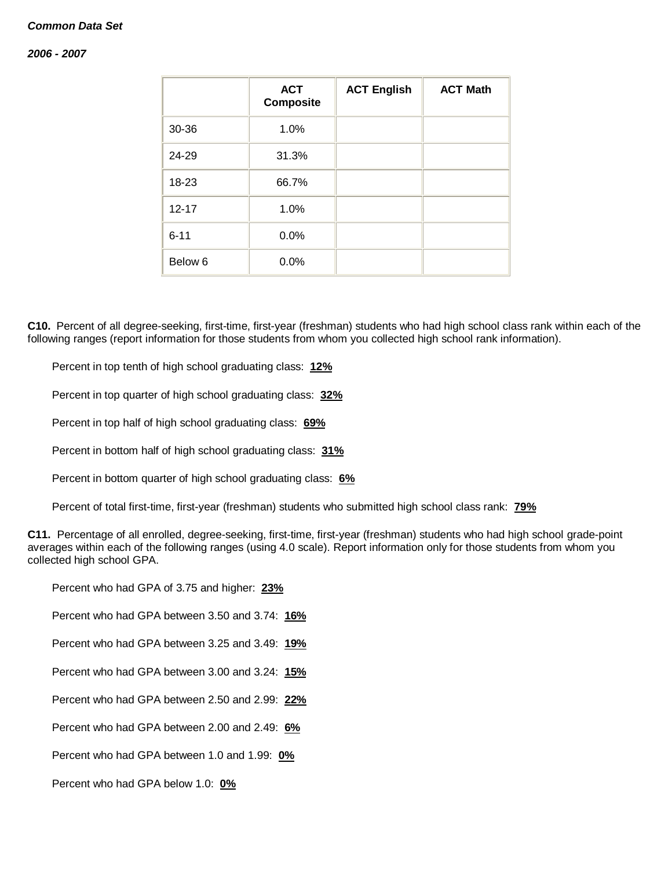### *2006 - 2007*

|                    | <b>ACT</b><br><b>Composite</b> | <b>ACT English</b> | <b>ACT Math</b> |
|--------------------|--------------------------------|--------------------|-----------------|
| 30-36              | 1.0%                           |                    |                 |
| 24-29              | 31.3%                          |                    |                 |
| 18-23              | 66.7%                          |                    |                 |
| $12 - 17$          | 1.0%                           |                    |                 |
| $6 - 11$           | 0.0%                           |                    |                 |
| Below <sub>6</sub> | 0.0%                           |                    |                 |

**C10.** Percent of all degree-seeking, first-time, first-year (freshman) students who had high school class rank within each of the following ranges (report information for those students from whom you collected high school rank information).

Percent in top tenth of high school graduating class: **12%**

Percent in top quarter of high school graduating class: **32%**

Percent in top half of high school graduating class: **69%**

Percent in bottom half of high school graduating class: **31%**

Percent in bottom quarter of high school graduating class: **6%**

Percent of total first-time, first-year (freshman) students who submitted high school class rank: **79%**

**C11.** Percentage of all enrolled, degree-seeking, first-time, first-year (freshman) students who had high school grade-point averages within each of the following ranges (using 4.0 scale). Report information only for those students from whom you collected high school GPA.

Percent who had GPA of 3.75 and higher: **23%**

Percent who had GPA between 3.50 and 3.74: **16%**

Percent who had GPA between 3.25 and 3.49: **19%**

Percent who had GPA between 3.00 and 3.24: **15%**

Percent who had GPA between 2.50 and 2.99: **22%**

Percent who had GPA between 2.00 and 2.49: **6%**

Percent who had GPA between 1.0 and 1.99: **0%**

Percent who had GPA below 1.0: **0%**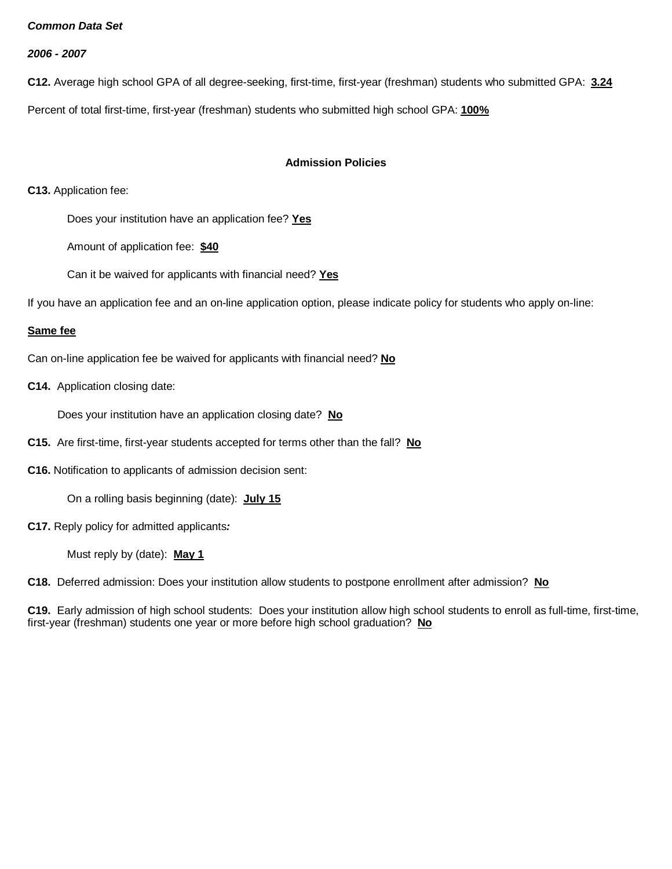*2006 - 2007*

**C12.** Average high school GPA of all degree-seeking, first-time, first-year (freshman) students who submitted GPA: **3.24**

Percent of total first-time, first-year (freshman) students who submitted high school GPA: **100%**

## **Admission Policies**

**C13.** Application fee:

Does your institution have an application fee? **Yes**

Amount of application fee: **\$40**

Can it be waived for applicants with financial need? **Yes**

If you have an application fee and an on-line application option, please indicate policy for students who apply on-line:

### **Same fee**

Can on-line application fee be waived for applicants with financial need? **No**

**C14.** Application closing date:

Does your institution have an application closing date? **No**

**C15.** Are first-time, first-year students accepted for terms other than the fall? **No**

**C16.** Notification to applicants of admission decision sent:

On a rolling basis beginning (date): **July 15**

**C17.** Reply policy for admitted applicants*:*

Must reply by (date): **May 1**

**C18.** Deferred admission: Does your institution allow students to postpone enrollment after admission? **No**

**C19.** Early admission of high school students: Does your institution allow high school students to enroll as full-time, first-time, first-year (freshman) students one year or more before high school graduation? **No**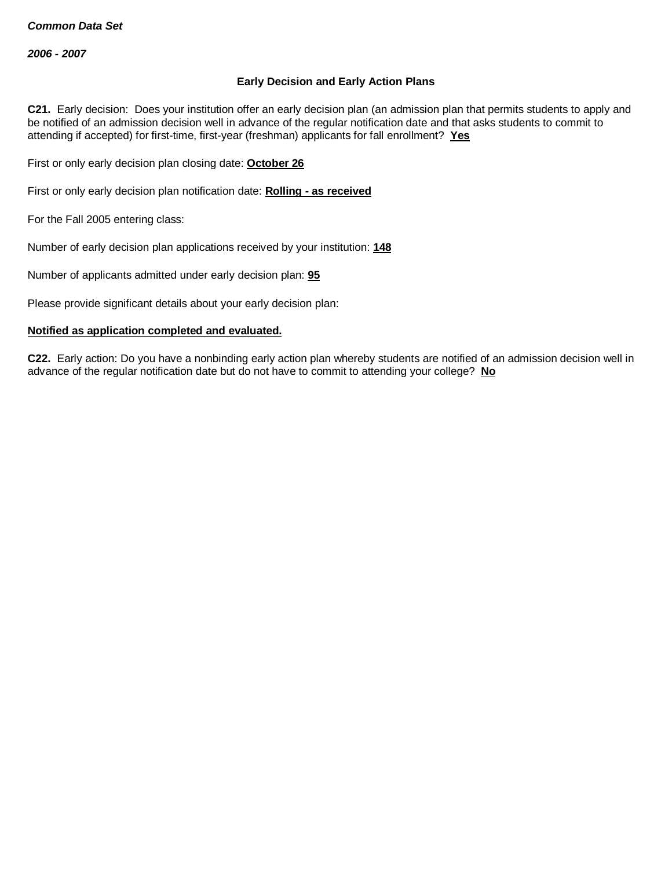## **Early Decision and Early Action Plans**

**C21.** Early decision: Does your institution offer an early decision plan (an admission plan that permits students to apply and be notified of an admission decision well in advance of the regular notification date and that asks students to commit to attending if accepted) for first-time, first-year (freshman) applicants for fall enrollment? **Yes**

First or only early decision plan closing date: **October 26**

First or only early decision plan notification date: **Rolling - as received**

For the Fall 2005 entering class:

Number of early decision plan applications received by your institution: **148**

Number of applicants admitted under early decision plan: **95**

Please provide significant details about your early decision plan:

### **Notified as application completed and evaluated.**

**C22.** Early action: Do you have a nonbinding early action plan whereby students are notified of an admission decision well in advance of the regular notification date but do not have to commit to attending your college? **No**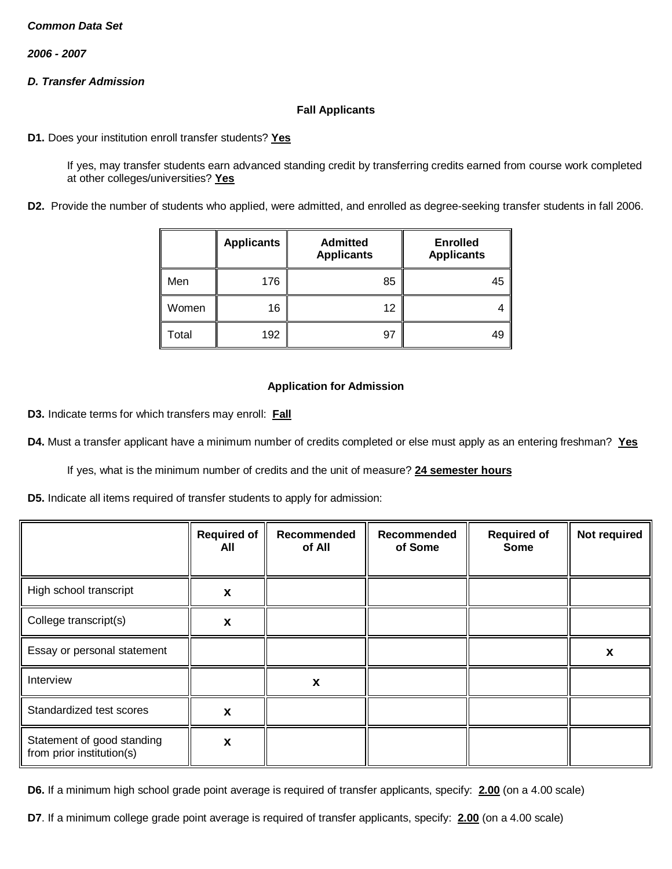*2006 - 2007*

# *D. Transfer Admission*

### **Fall Applicants**

**D1.** Does your institution enroll transfer students? **Yes**

If yes, may transfer students earn advanced standing credit by transferring credits earned from course work completed at other colleges/universities? **Yes**

**D2.** Provide the number of students who applied, were admitted, and enrolled as degree-seeking transfer students in fall 2006.

|       | <b>Applicants</b> | <b>Admitted</b><br><b>Applicants</b> | <b>Enrolled</b><br><b>Applicants</b> |
|-------|-------------------|--------------------------------------|--------------------------------------|
| Men   | 176               | 85                                   | 45                                   |
| Women | 16                | 12                                   |                                      |
| Total | 192               | 97                                   | 49                                   |

### **Application for Admission**

**D3.** Indicate terms for which transfers may enroll: **Fall**

**D4.** Must a transfer applicant have a minimum number of credits completed or else must apply as an entering freshman? **Yes**

If yes, what is the minimum number of credits and the unit of measure? **24 semester hours**

**D5.** Indicate all items required of transfer students to apply for admission:

|                                                         | <b>Required of</b><br>All | Recommended<br>of All | Recommended<br>of Some | <b>Required of</b><br><b>Some</b> | Not required |
|---------------------------------------------------------|---------------------------|-----------------------|------------------------|-----------------------------------|--------------|
| High school transcript                                  | X                         |                       |                        |                                   |              |
| College transcript(s)                                   | X                         |                       |                        |                                   |              |
| Essay or personal statement                             |                           |                       |                        |                                   | X            |
| Interview                                               |                           | X                     |                        |                                   |              |
| Standardized test scores                                | X                         |                       |                        |                                   |              |
| Statement of good standing<br>from prior institution(s) | $\boldsymbol{\mathsf{x}}$ |                       |                        |                                   |              |

**D6.** If a minimum high school grade point average is required of transfer applicants, specify: **2.00** (on a 4.00 scale)

**D7**. If a minimum college grade point average is required of transfer applicants, specify: **2.00** (on a 4.00 scale)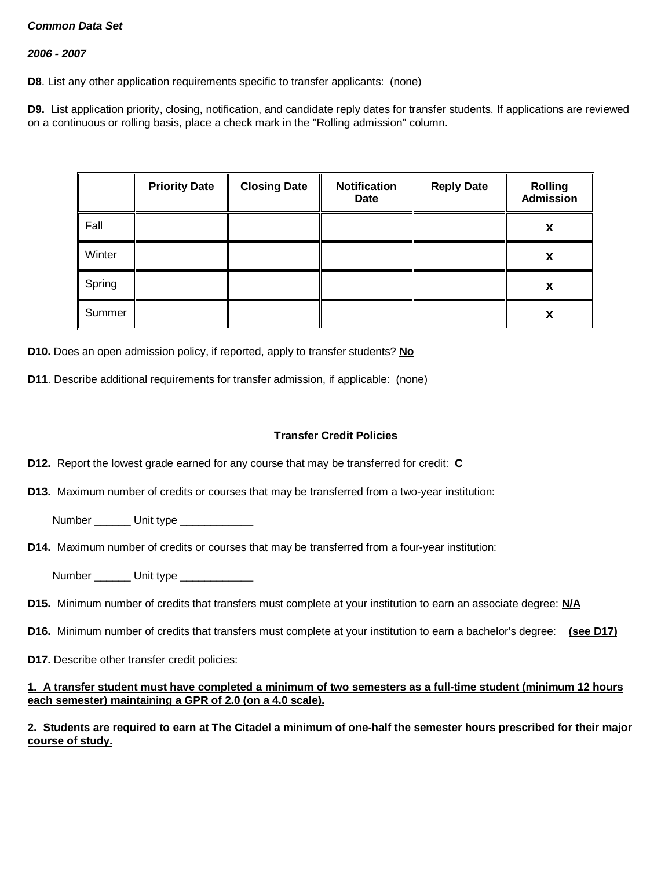### *2006 - 2007*

**D8**. List any other application requirements specific to transfer applicants: (none)

**D9.** List application priority, closing, notification, and candidate reply dates for transfer students. If applications are reviewed on a continuous or rolling basis, place a check mark in the "Rolling admission" column.

|        | <b>Priority Date</b> | <b>Closing Date</b> | <b>Notification</b><br><b>Date</b> | <b>Reply Date</b> | <b>Rolling</b><br><b>Admission</b> |
|--------|----------------------|---------------------|------------------------------------|-------------------|------------------------------------|
| Fall   |                      |                     |                                    |                   | X                                  |
| Winter |                      |                     |                                    |                   | X                                  |
| Spring |                      |                     |                                    |                   | X                                  |
| Summer |                      |                     |                                    |                   | X                                  |

**D10.** Does an open admission policy, if reported, apply to transfer students? **No**

**D11**. Describe additional requirements for transfer admission, if applicable: (none)

### **Transfer Credit Policies**

- **D12.** Report the lowest grade earned for any course that may be transferred for credit: **C**
- **D13.** Maximum number of credits or courses that may be transferred from a two-year institution:
	- Number Unit type
- **D14.** Maximum number of credits or courses that may be transferred from a four-year institution:
	- Number **Unit type**
- **D15.** Minimum number of credits that transfers must complete at your institution to earn an associate degree: **N/A**
- **D16.** Minimum number of credits that transfers must complete at your institution to earn a bachelor's degree: **(see D17)**
- **D17.** Describe other transfer credit policies:

### **1. A transfer student must have completed a minimum of two semesters as a full-time student (minimum 12 hours each semester) maintaining a GPR of 2.0 (on a 4.0 scale).**

## **2. Students are required to earn at The Citadel a minimum of one-half the semester hours prescribed for their major course of study.**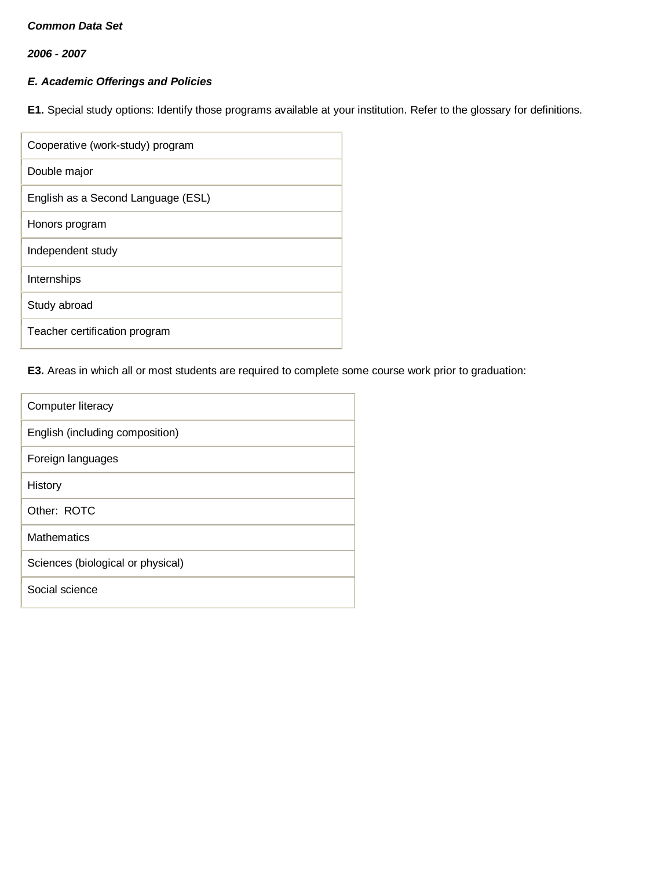*2006 - 2007*

# *E. Academic Offerings and Policies*

**E1.** Special study options: Identify those programs available at your institution. Refer to the glossary for definitions.

| Cooperative (work-study) program   |
|------------------------------------|
| Double major                       |
| English as a Second Language (ESL) |
| Honors program                     |
| Independent study                  |
| Internships                        |
| Study abroad                       |
| Teacher certification program      |

# **E3.** Areas in which all or most students are required to complete some course work prior to graduation:

| Computer literacy                 |
|-----------------------------------|
| English (including composition)   |
| Foreign languages                 |
| History                           |
| Other: ROTC                       |
| Mathematics                       |
| Sciences (biological or physical) |
| Social science                    |
|                                   |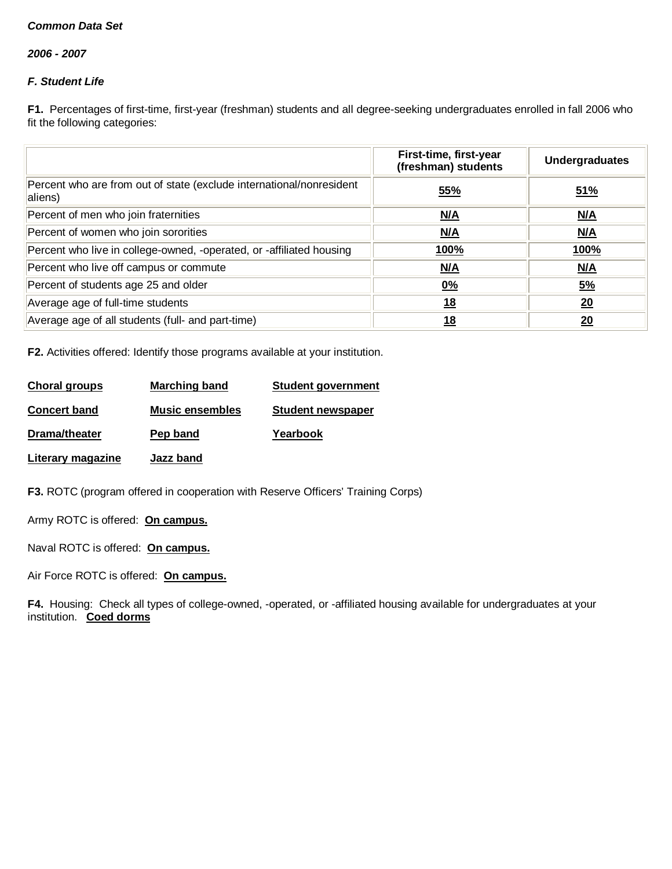*2006 - 2007*

# *F. Student Life*

**F1.** Percentages of first-time, first-year (freshman) students and all degree-seeking undergraduates enrolled in fall 2006 who fit the following categories:

|                                                                                 | First-time, first-year<br>(freshman) students | <b>Undergraduates</b> |
|---------------------------------------------------------------------------------|-----------------------------------------------|-----------------------|
| Percent who are from out of state (exclude international/nonresident<br>aliens) | 55%                                           | 51%                   |
| Percent of men who join fraternities                                            | N/A                                           | M/A                   |
| Percent of women who join sororities                                            | N/A                                           | N/A                   |
| Percent who live in college-owned, -operated, or -affiliated housing            | <u>100%</u>                                   | <u>100%</u>           |
| Percent who live off campus or commute                                          | M/A                                           | M/A                   |
| Percent of students age 25 and older                                            | 0%                                            | <u>5%</u>             |
| Average age of full-time students                                               | <u>18</u>                                     | 20                    |
| Average age of all students (full- and part-time)                               | 18                                            | 20                    |

**F2.** Activities offered: Identify those programs available at your institution.

| <b>Choral groups</b> | <b>Marching band</b>   | <b>Student government</b> |
|----------------------|------------------------|---------------------------|
| <b>Concert band</b>  | <b>Music ensembles</b> | <b>Student newspaper</b>  |
| Drama/theater        | Pep band               | Yearbook                  |
| Literary magazine    | Jazz band              |                           |

**F3.** ROTC (program offered in cooperation with Reserve Officers' Training Corps)

Army ROTC is offered: **On campus.**

Naval ROTC is offered: **On campus.**

Air Force ROTC is offered: **On campus.**

**F4.** Housing: Check all types of college-owned, -operated, or -affiliated housing available for undergraduates at your institution. **Coed dorms**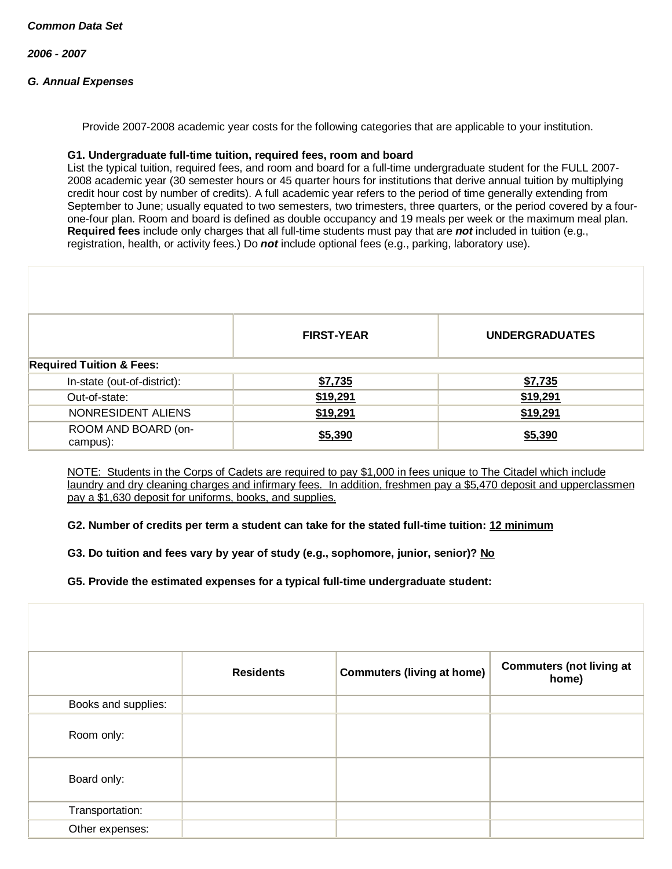*2006 - 2007*

# *G. Annual Expenses*

Provide 2007-2008 academic year costs for the following categories that are applicable to your institution.

### **G1. Undergraduate full-time tuition, required fees, room and board**

List the typical tuition, required fees, and room and board for a full-time undergraduate student for the FULL 2007- 2008 academic year (30 semester hours or 45 quarter hours for institutions that derive annual tuition by multiplying credit hour cost by number of credits). A full academic year refers to the period of time generally extending from September to June; usually equated to two semesters, two trimesters, three quarters, or the period covered by a fourone-four plan. Room and board is defined as double occupancy and 19 meals per week or the maximum meal plan. **Required fees** include only charges that all full-time students must pay that are *not* included in tuition (e.g., registration, health, or activity fees.) Do *not* include optional fees (e.g., parking, laboratory use).

|                                     | <b>FIRST-YEAR</b> | <b>UNDERGRADUATES</b> |
|-------------------------------------|-------------------|-----------------------|
| <b>Required Tuition &amp; Fees:</b> |                   |                       |
| In-state (out-of-district):         | \$7,735           | \$7,735               |
| Out-of-state:                       | \$19,291          | \$19,291              |
| NONRESIDENT ALIENS                  | \$19,291          | \$19,291              |
| ROOM AND BOARD (on-<br>campus):     | \$5,390           | \$5,390               |

NOTE: Students in the Corps of Cadets are required to pay \$1,000 in fees unique to The Citadel which include laundry and dry cleaning charges and infirmary fees. In addition, freshmen pay a \$5,470 deposit and upperclassmen pay a \$1,630 deposit for uniforms, books, and supplies.

**G2. Number of credits per term a student can take for the stated full-time tuition: 12 minimum**

**G3. Do tuition and fees vary by year of study (e.g., sophomore, junior, senior)? No**

**G5. Provide the estimated expenses for a typical full-time undergraduate student:**

|                     | <b>Residents</b> | <b>Commuters (living at home)</b> | <b>Commuters (not living at</b><br>home) |
|---------------------|------------------|-----------------------------------|------------------------------------------|
| Books and supplies: |                  |                                   |                                          |
| Room only:          |                  |                                   |                                          |
| Board only:         |                  |                                   |                                          |
| Transportation:     |                  |                                   |                                          |
| Other expenses:     |                  |                                   |                                          |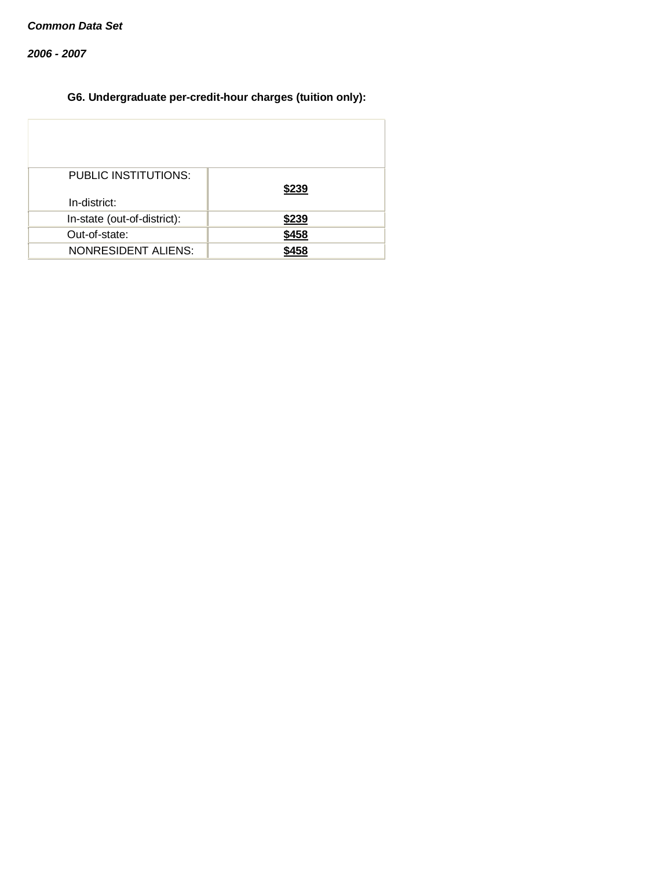*2006 - 2007*

# **G6. Undergraduate per-credit-hour charges (tuition only):**

| <b>PUBLIC INSTITUTIONS:</b><br>In-district: | \$239       |
|---------------------------------------------|-------------|
|                                             | \$239       |
| In-state (out-of-district):                 |             |
| Out-of-state:                               | \$458       |
| <b>NONRESIDENT ALIENS:</b>                  | <b>¢458</b> |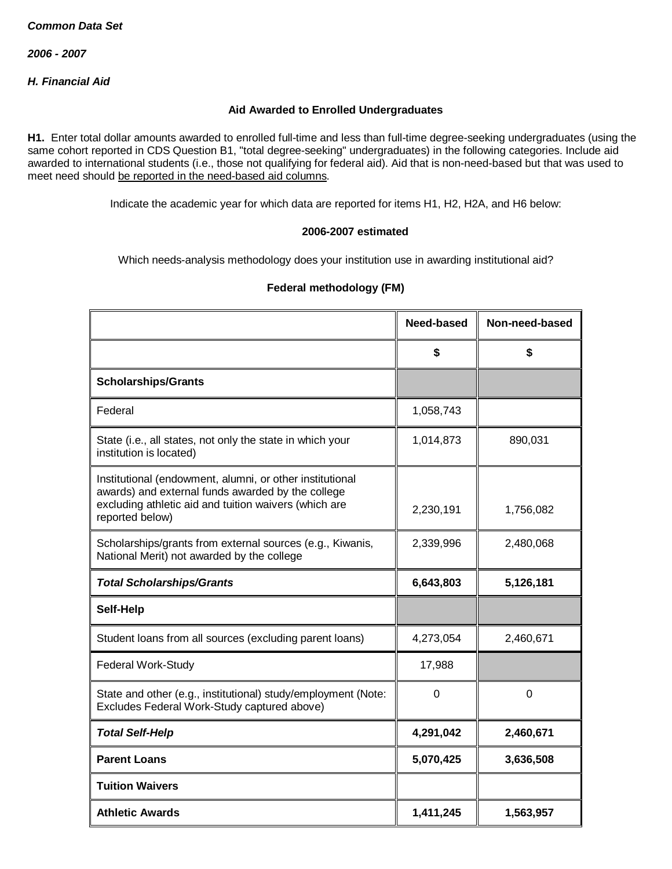*2006 - 2007*

*H. Financial Aid*

### **Aid Awarded to Enrolled Undergraduates**

**H1.** Enter total dollar amounts awarded to enrolled full-time and less than full-time degree-seeking undergraduates (using the same cohort reported in CDS Question B1, "total degree-seeking" undergraduates) in the following categories. Include aid awarded to international students (i.e., those not qualifying for federal aid). Aid that is non-need-based but that was used to meet need should be reported in the need-based aid columns.

Indicate the academic year for which data are reported for items H1, H2, H2A, and H6 below:

### **2006-2007 estimated**

Which needs-analysis methodology does your institution use in awarding institutional aid?

|                                                                                                                                                                                           | Need-based | Non-need-based |
|-------------------------------------------------------------------------------------------------------------------------------------------------------------------------------------------|------------|----------------|
|                                                                                                                                                                                           | \$         | \$             |
| <b>Scholarships/Grants</b>                                                                                                                                                                |            |                |
| Federal                                                                                                                                                                                   | 1,058,743  |                |
| State (i.e., all states, not only the state in which your<br>institution is located)                                                                                                      | 1,014,873  | 890,031        |
| Institutional (endowment, alumni, or other institutional<br>awards) and external funds awarded by the college<br>excluding athletic aid and tuition waivers (which are<br>reported below) | 2,230,191  | 1,756,082      |
| Scholarships/grants from external sources (e.g., Kiwanis,<br>National Merit) not awarded by the college                                                                                   | 2,339,996  | 2,480,068      |
| <b>Total Scholarships/Grants</b>                                                                                                                                                          | 6,643,803  | 5,126,181      |
| Self-Help                                                                                                                                                                                 |            |                |
| Student loans from all sources (excluding parent loans)                                                                                                                                   | 4,273,054  | 2,460,671      |
| <b>Federal Work-Study</b>                                                                                                                                                                 | 17,988     |                |
| State and other (e.g., institutional) study/employment (Note:<br>Excludes Federal Work-Study captured above)                                                                              | 0          | 0              |
| <b>Total Self-Help</b>                                                                                                                                                                    | 4,291,042  | 2,460,671      |
| <b>Parent Loans</b>                                                                                                                                                                       | 5,070,425  | 3,636,508      |
| <b>Tuition Waivers</b>                                                                                                                                                                    |            |                |
| <b>Athletic Awards</b>                                                                                                                                                                    | 1,411,245  | 1,563,957      |

## **Federal methodology (FM)**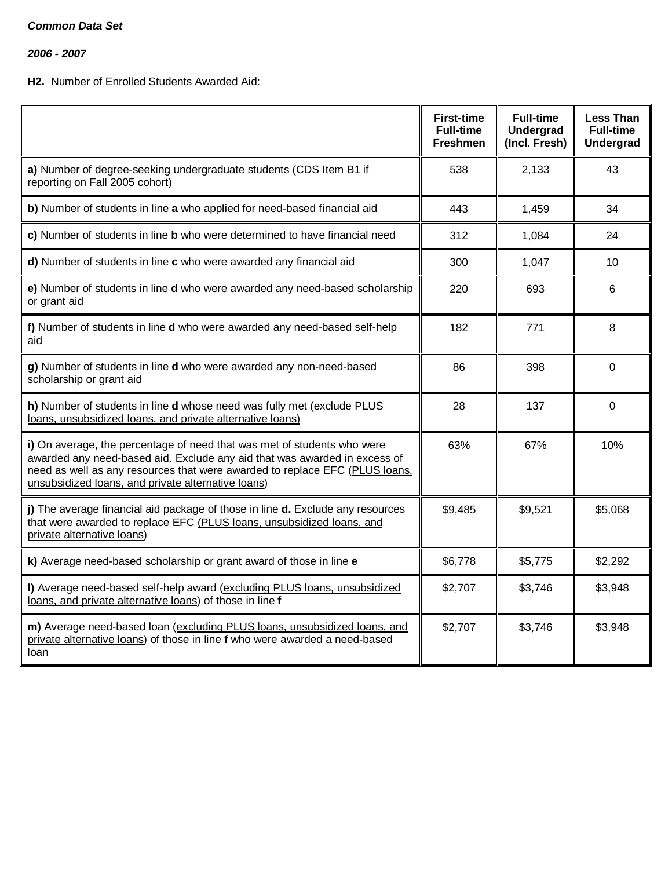*2006 - 2007*

# **H2.** Number of Enrolled Students Awarded Aid:

|                                                                                                                                                                                                                                                                                           | <b>First-time</b><br><b>Full-time</b><br><b>Freshmen</b> | <b>Full-time</b><br><b>Undergrad</b><br>(Incl. Fresh) | Less Than<br><b>Full-time</b><br><b>Undergrad</b> |
|-------------------------------------------------------------------------------------------------------------------------------------------------------------------------------------------------------------------------------------------------------------------------------------------|----------------------------------------------------------|-------------------------------------------------------|---------------------------------------------------|
| a) Number of degree-seeking undergraduate students (CDS Item B1 if<br>reporting on Fall 2005 cohort)                                                                                                                                                                                      | 538                                                      | 2,133                                                 | 43                                                |
| b) Number of students in line a who applied for need-based financial aid                                                                                                                                                                                                                  | 443                                                      | 1,459                                                 | 34                                                |
| c) Number of students in line <b>b</b> who were determined to have financial need                                                                                                                                                                                                         | 312                                                      | 1,084                                                 | 24                                                |
| d) Number of students in line c who were awarded any financial aid                                                                                                                                                                                                                        | 300                                                      | 1,047                                                 | 10                                                |
| e) Number of students in line d who were awarded any need-based scholarship<br>or grant aid                                                                                                                                                                                               | 220                                                      | 693                                                   | 6                                                 |
| f) Number of students in line d who were awarded any need-based self-help<br>aid                                                                                                                                                                                                          | 182                                                      | 771                                                   | 8                                                 |
| g) Number of students in line d who were awarded any non-need-based<br>scholarship or grant aid                                                                                                                                                                                           | 86                                                       | 398                                                   | $\Omega$                                          |
| h) Number of students in line d whose need was fully met (exclude PLUS<br>loans, unsubsidized loans, and private alternative loans)                                                                                                                                                       | 28                                                       | 137                                                   | 0                                                 |
| i) On average, the percentage of need that was met of students who were<br>awarded any need-based aid. Exclude any aid that was awarded in excess of<br>need as well as any resources that were awarded to replace EFC (PLUS loans.<br>unsubsidized loans, and private alternative loans) | 63%                                                      | 67%                                                   | 10%                                               |
| j) The average financial aid package of those in line d. Exclude any resources<br>that were awarded to replace EFC (PLUS loans, unsubsidized loans, and<br>private alternative loans)                                                                                                     | \$9,485                                                  | \$9,521                                               | \$5,068                                           |
| k) Average need-based scholarship or grant award of those in line e                                                                                                                                                                                                                       | \$6,778                                                  | \$5,775                                               | \$2,292                                           |
| I) Average need-based self-help award (excluding PLUS loans, unsubsidized<br>loans, and private alternative loans) of those in line f                                                                                                                                                     | \$2,707                                                  | \$3,746                                               | \$3,948                                           |
| m) Average need-based loan (excluding PLUS loans, unsubsidized loans, and<br>private alternative loans) of those in line f who were awarded a need-based<br>loan                                                                                                                          | \$2,707                                                  | \$3,746                                               | \$3,948                                           |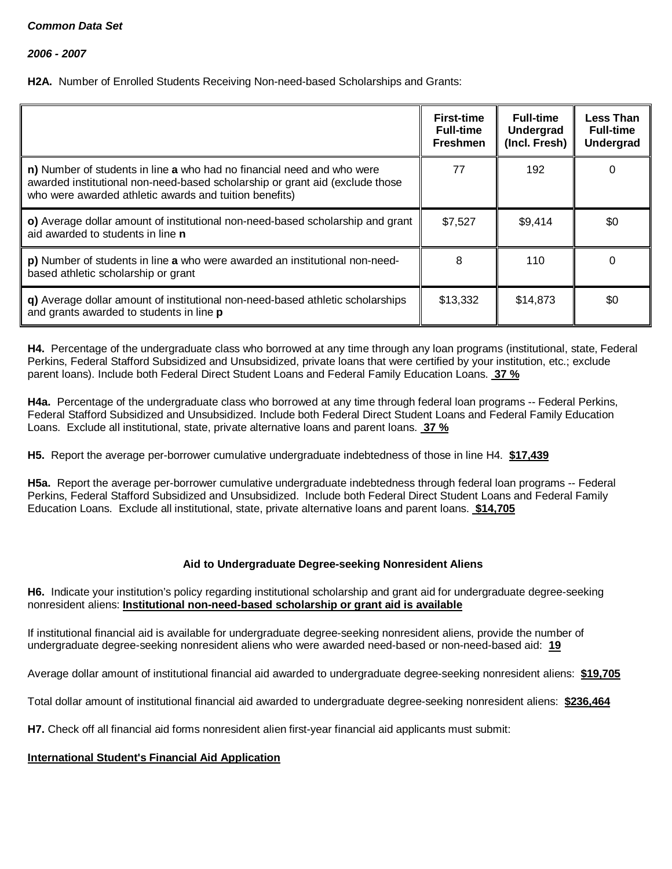*2006 - 2007*

**H2A.** Number of Enrolled Students Receiving Non-need-based Scholarships and Grants:

|                                                                                                                                                                                                                  | <b>First-time</b><br><b>Full-time</b><br><b>Freshmen</b> | <b>Full-time</b><br>Undergrad<br>(Incl. Fresh) | <b>Less Than</b><br><b>Full-time</b><br><b>Undergrad</b> |
|------------------------------------------------------------------------------------------------------------------------------------------------------------------------------------------------------------------|----------------------------------------------------------|------------------------------------------------|----------------------------------------------------------|
| n) Number of students in line a who had no financial need and who were<br>awarded institutional non-need-based scholarship or grant aid (exclude those<br>who were awarded athletic awards and tuition benefits) | 77                                                       | 192                                            | 0                                                        |
| o) Average dollar amount of institutional non-need-based scholarship and grant<br>aid awarded to students in line <b>n</b>                                                                                       | \$7,527                                                  | \$9,414                                        | \$0                                                      |
| p) Number of students in line a who were awarded an institutional non-need-<br>based athletic scholarship or grant                                                                                               | 8                                                        | 110                                            | 0                                                        |
| q) Average dollar amount of institutional non-need-based athletic scholarships<br>and grants awarded to students in line p                                                                                       | \$13,332                                                 | \$14,873                                       | \$0                                                      |

**H4.** Percentage of the undergraduate class who borrowed at any time through any loan programs (institutional, state, Federal Perkins, Federal Stafford Subsidized and Unsubsidized, private loans that were certified by your institution, etc.; exclude parent loans). Include both Federal Direct Student Loans and Federal Family Education Loans. **37 %**

**H4a.** Percentage of the undergraduate class who borrowed at any time through federal loan programs -- Federal Perkins, Federal Stafford Subsidized and Unsubsidized. Include both Federal Direct Student Loans and Federal Family Education Loans. Exclude all institutional, state, private alternative loans and parent loans. **37 %**

**H5.** Report the average per-borrower cumulative undergraduate indebtedness of those in line H4. **\$17,439**

**H5a.** Report the average per-borrower cumulative undergraduate indebtedness through federal loan programs -- Federal Perkins, Federal Stafford Subsidized and Unsubsidized. Include both Federal Direct Student Loans and Federal Family Education Loans. Exclude all institutional, state, private alternative loans and parent loans. **\$14,705**

## **Aid to Undergraduate Degree-seeking Nonresident Aliens**

**H6.** Indicate your institution's policy regarding institutional scholarship and grant aid for undergraduate degree-seeking nonresident aliens: **Institutional non-need-based scholarship or grant aid is available**

If institutional financial aid is available for undergraduate degree-seeking nonresident aliens, provide the number of undergraduate degree-seeking nonresident aliens who were awarded need-based or non-need-based aid: **19**

Average dollar amount of institutional financial aid awarded to undergraduate degree-seeking nonresident aliens: **\$19,705**

Total dollar amount of institutional financial aid awarded to undergraduate degree-seeking nonresident aliens: **\$236,464**

**H7.** Check off all financial aid forms nonresident alien first-year financial aid applicants must submit:

## **International Student's Financial Aid Application**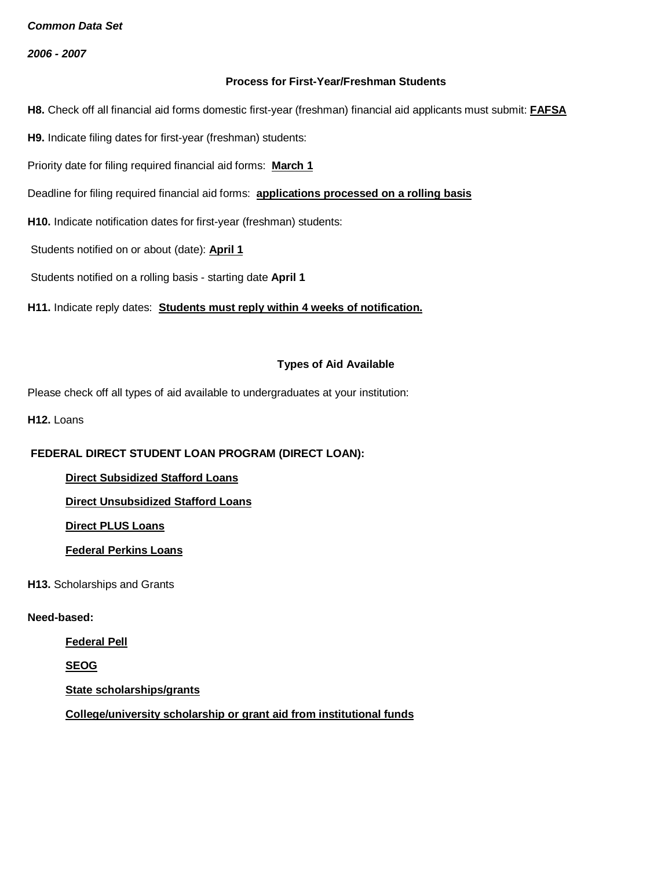*2006 - 2007*

### **Process for First-Year/Freshman Students**

**H8.** Check off all financial aid forms domestic first-year (freshman) financial aid applicants must submit: **FAFSA**

**H9.** Indicate filing dates for first-year (freshman) students:

Priority date for filing required financial aid forms: **March 1**

Deadline for filing required financial aid forms: **applications processed on a rolling basis**

**H10.** Indicate notification dates for first-year (freshman) students:

Students notified on or about (date): **April 1**

Students notified on a rolling basis - starting date **April 1**

**H11.** Indicate reply dates: **Students must reply within 4 weeks of notification.**

### **Types of Aid Available**

Please check off all types of aid available to undergraduates at your institution:

**H12. Loans** 

## **FEDERAL DIRECT STUDENT LOAN PROGRAM (DIRECT LOAN):**

**Direct Subsidized Stafford Loans**

**Direct Unsubsidized Stafford Loans**

**Direct PLUS Loans**

**Federal Perkins Loans**

**H13.** Scholarships and Grants

### **Need-based:**

**Federal Pell**

**SEOG**

**State scholarships/grants**

**College/university scholarship or grant aid from institutional funds**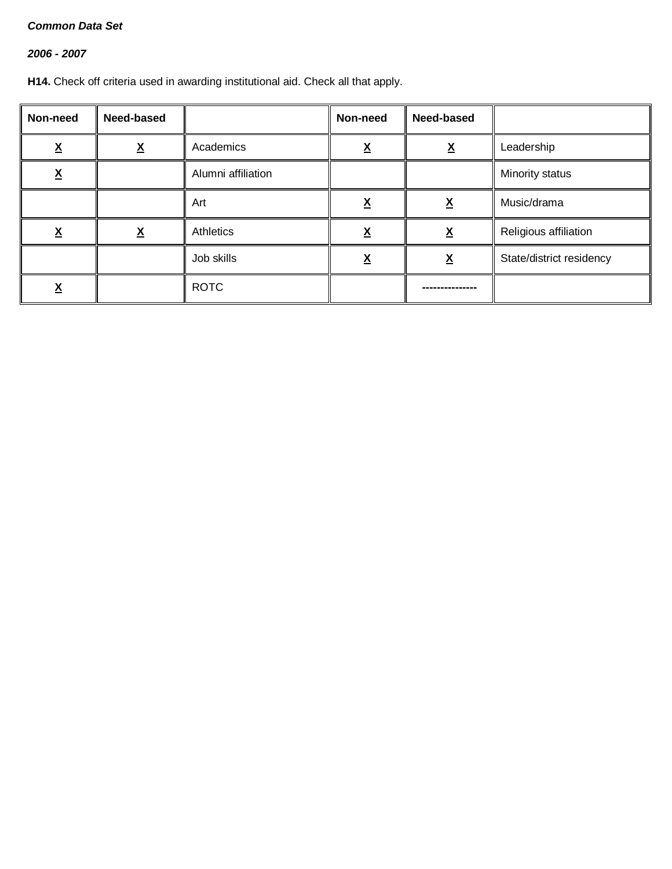# *2006 - 2007*

**H14.** Check off criteria used in awarding institutional aid. Check all that apply.

| Non-need      | Need-based               |                    | Non-need | Need-based               |                          |
|---------------|--------------------------|--------------------|----------|--------------------------|--------------------------|
| v<br><u>л</u> | $\underline{\mathbf{X}}$ | Academics          |          | <u>х</u>                 | Leadership               |
| <u>х</u>      |                          | Alumni affiliation |          |                          | Minority status          |
|               |                          | Art                | ᄉ        | $\underline{\mathsf{X}}$ | Music/drama              |
| v             | <u>х</u>                 | Athletics          |          | v<br>Λ                   | Religious affiliation    |
|               |                          | Job skills         |          | v<br>▵                   | State/district residency |
| <u>^</u>      |                          | <b>ROTC</b>        |          |                          |                          |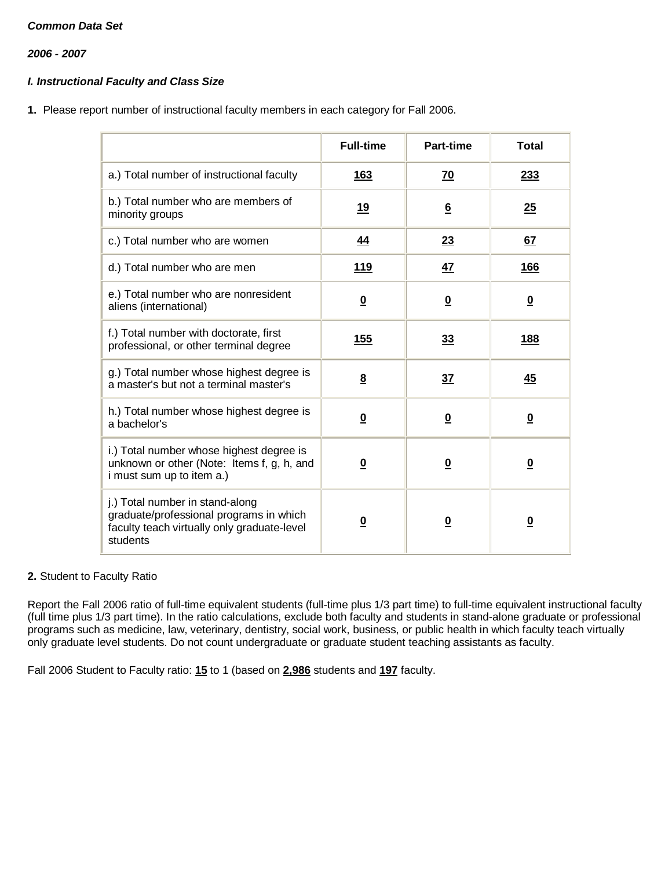*2006 - 2007*

# *I. Instructional Faculty and Class Size*

**1.** Please report number of instructional faculty members in each category for Fall 2006.

|                                                                                                                                       | <b>Full-time</b>        | Part-time                | <b>Total</b>            |
|---------------------------------------------------------------------------------------------------------------------------------------|-------------------------|--------------------------|-------------------------|
| a.) Total number of instructional faculty                                                                                             | <b>163</b>              | <u>70</u>                | 233                     |
| b.) Total number who are members of<br>minority groups                                                                                | 19                      | $6\overline{6}$          | 25                      |
| c.) Total number who are women                                                                                                        | 44                      | 23                       | 67                      |
| d.) Total number who are men                                                                                                          | <u>119</u>              | <u>47</u>                | 166                     |
| e.) Total number who are nonresident<br>aliens (international)                                                                        | $\overline{\mathbf{0}}$ | $\overline{\mathbf{0}}$  | $\overline{\mathbf{0}}$ |
| f.) Total number with doctorate, first<br>professional, or other terminal degree                                                      | 155                     | 33                       | <u>188</u>              |
| g.) Total number whose highest degree is<br>a master's but not a terminal master's                                                    | $\underline{8}$         | 37                       | <u>45</u>               |
| h.) Total number whose highest degree is<br>a bachelor's                                                                              | $\overline{\mathbf{0}}$ | $\underline{\mathbf{0}}$ | $\overline{\mathbf{0}}$ |
| i.) Total number whose highest degree is<br>unknown or other (Note: Items f, g, h, and<br>i must sum up to item a.)                   | $\overline{\mathbf{0}}$ | $\overline{\mathbf{0}}$  | $\overline{\mathbf{0}}$ |
| j.) Total number in stand-along<br>graduate/professional programs in which<br>faculty teach virtually only graduate-level<br>students | <u>0</u>                | $\overline{\mathbf{0}}$  | $\overline{\mathbf{0}}$ |

## **2.** Student to Faculty Ratio

Report the Fall 2006 ratio of full-time equivalent students (full-time plus 1/3 part time) to full-time equivalent instructional faculty (full time plus 1/3 part time). In the ratio calculations, exclude both faculty and students in stand-alone graduate or professional programs such as medicine, law, veterinary, dentistry, social work, business, or public health in which faculty teach virtually only graduate level students. Do not count undergraduate or graduate student teaching assistants as faculty.

Fall 2006 Student to Faculty ratio: **15** to 1 (based on **2,986** students and **197** faculty.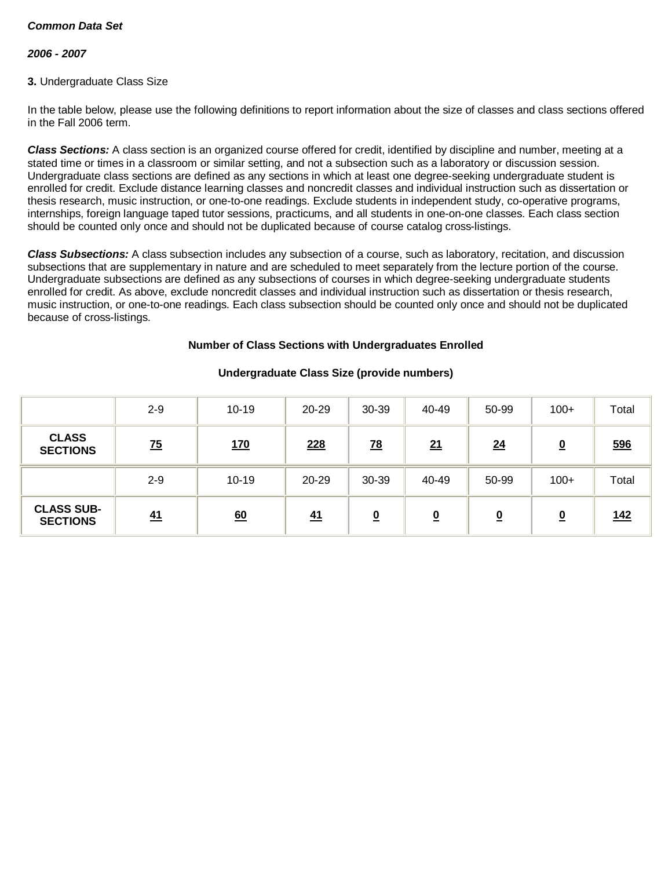### *2006 - 2007*

### **3.** Undergraduate Class Size

In the table below, please use the following definitions to report information about the size of classes and class sections offered in the Fall 2006 term.

*Class Sections:* A class section is an organized course offered for credit, identified by discipline and number, meeting at a stated time or times in a classroom or similar setting, and not a subsection such as a laboratory or discussion session. Undergraduate class sections are defined as any sections in which at least one degree-seeking undergraduate student is enrolled for credit. Exclude distance learning classes and noncredit classes and individual instruction such as dissertation or thesis research, music instruction, or one-to-one readings. Exclude students in independent study, co-operative programs, internships, foreign language taped tutor sessions, practicums, and all students in one-on-one classes. Each class section should be counted only once and should not be duplicated because of course catalog cross-listings.

*Class Subsections:* A class subsection includes any subsection of a course, such as laboratory, recitation, and discussion subsections that are supplementary in nature and are scheduled to meet separately from the lecture portion of the course. Undergraduate subsections are defined as any subsections of courses in which degree-seeking undergraduate students enrolled for credit. As above, exclude noncredit classes and individual instruction such as dissertation or thesis research, music instruction, or one-to-one readings. Each class subsection should be counted only once and should not be duplicated because of cross-listings.

### **Number of Class Sections with Undergraduates Enrolled**

|                                      | $2 - 9$         | $10 - 19$  | 20-29      | 30-39                    | 40-49     | 50-99    | $100+$                  | Total      |
|--------------------------------------|-----------------|------------|------------|--------------------------|-----------|----------|-------------------------|------------|
| <b>CLASS</b><br><b>SECTIONS</b>      | $\overline{25}$ | <u>170</u> | <u>228</u> | $\frac{78}{2}$           | <u>21</u> | 24       | $\overline{\mathbf{0}}$ | 596        |
|                                      | $2 - 9$         | $10 - 19$  | 20-29      | 30-39                    | 40-49     | 50-99    | $100+$                  | Total      |
| <b>CLASS SUB-</b><br><b>SECTIONS</b> | 41              | 60         | 41         | $\underline{\mathbf{0}}$ | <u>0</u>  | <u>0</u> | <u>0</u>                | <u>142</u> |

## **Undergraduate Class Size (provide numbers)**